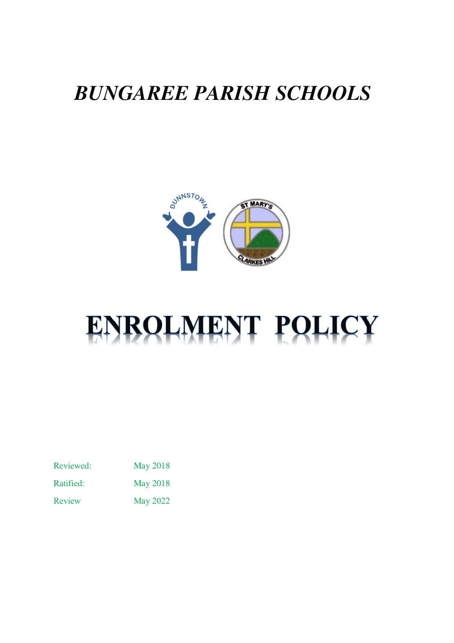# *BUNGAREE PARISH SCHOOLS*



# ENROLMENT POLICY

Reviewed: May 2018

Ratified: May 2018

Review May 2022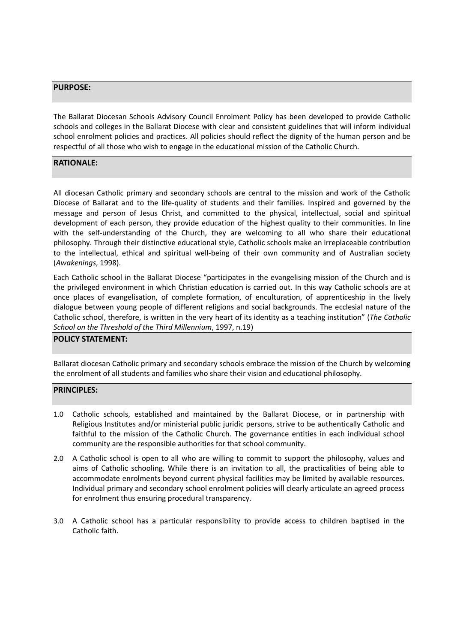#### PURPOSE:

The Ballarat Diocesan Schools Advisory Council Enrolment Policy has been developed to provide Catholic schools and colleges in the Ballarat Diocese with clear and consistent guidelines that will inform individual school enrolment policies and practices. All policies should reflect the dignity of the human person and be respectful of all those who wish to engage in the educational mission of the Catholic Church.

### RATIONALE:

All diocesan Catholic primary and secondary schools are central to the mission and work of the Catholic Diocese of Ballarat and to the life-quality of students and their families. Inspired and governed by the message and person of Jesus Christ, and committed to the physical, intellectual, social and spiritual development of each person, they provide education of the highest quality to their communities. In line with the self-understanding of the Church, they are welcoming to all who share their educational philosophy. Through their distinctive educational style, Catholic schools make an irreplaceable contribution to the intellectual, ethical and spiritual well-being of their own community and of Australian society (Awakenings, 1998).

Each Catholic school in the Ballarat Diocese "participates in the evangelising mission of the Church and is the privileged environment in which Christian education is carried out. In this way Catholic schools are at once places of evangelisation, of complete formation, of enculturation, of apprenticeship in the lively dialogue between young people of different religions and social backgrounds. The ecclesial nature of the Catholic school, therefore, is written in the very heart of its identity as a teaching institution" (The Catholic School on the Threshold of the Third Millennium, 1997, n.19)

#### POLICY STATEMENT:

Ballarat diocesan Catholic primary and secondary schools embrace the mission of the Church by welcoming the enrolment of all students and families who share their vision and educational philosophy.

#### PRINCIPLES:

- 1.0 Catholic schools, established and maintained by the Ballarat Diocese, or in partnership with Religious Institutes and/or ministerial public juridic persons, strive to be authentically Catholic and faithful to the mission of the Catholic Church. The governance entities in each individual school community are the responsible authorities for that school community.
- 2.0 A Catholic school is open to all who are willing to commit to support the philosophy, values and aims of Catholic schooling. While there is an invitation to all, the practicalities of being able to accommodate enrolments beyond current physical facilities may be limited by available resources. Individual primary and secondary school enrolment policies will clearly articulate an agreed process for enrolment thus ensuring procedural transparency.
- 3.0 A Catholic school has a particular responsibility to provide access to children baptised in the Catholic faith.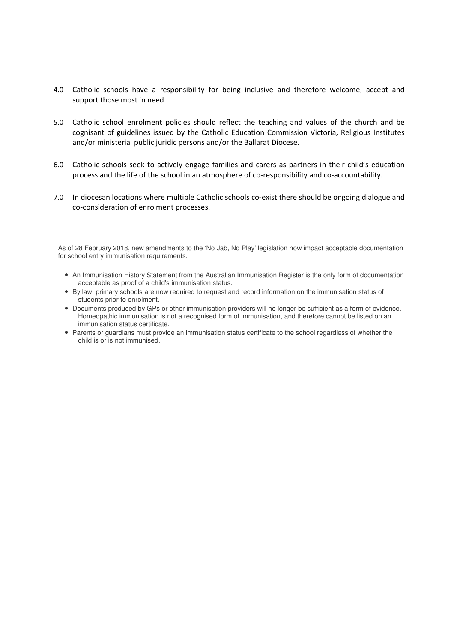- 4.0 Catholic schools have a responsibility for being inclusive and therefore welcome, accept and support those most in need.
- 5.0 Catholic school enrolment policies should reflect the teaching and values of the church and be cognisant of guidelines issued by the Catholic Education Commission Victoria, Religious Institutes and/or ministerial public juridic persons and/or the Ballarat Diocese.
- 6.0 Catholic schools seek to actively engage families and carers as partners in their child's education process and the life of the school in an atmosphere of co-responsibility and co-accountability.
- 7.0 In diocesan locations where multiple Catholic schools co-exist there should be ongoing dialogue and co-consideration of enrolment processes.

As of 28 February 2018, new amendments to the 'No Jab, No Play' legislation now impact acceptable documentation for school entry immunisation requirements.

- An Immunisation History Statement from the Australian Immunisation Register is the only form of documentation acceptable as proof of a child's immunisation status.
- By law, primary schools are now required to request and record information on the immunisation status of students prior to enrolment.
- Documents produced by GPs or other immunisation providers will no longer be sufficient as a form of evidence. Homeopathic immunisation is not a recognised form of immunisation, and therefore cannot be listed on an immunisation status certificate.
- Parents or guardians must provide an immunisation status certificate to the school regardless of whether the child is or is not immunised.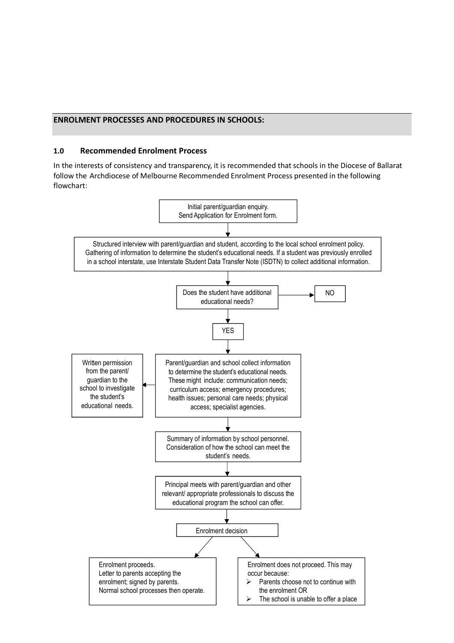#### ENROLMENT PROCESSES AND PROCEDURES IN SCHOOLS:

#### 1.0 Recommended Enrolment Process

In the interests of consistency and transparency, it is recommended that schools in the Diocese of Ballarat follow the Archdiocese of Melbourne Recommended Enrolment Process presented in the following flowchart:

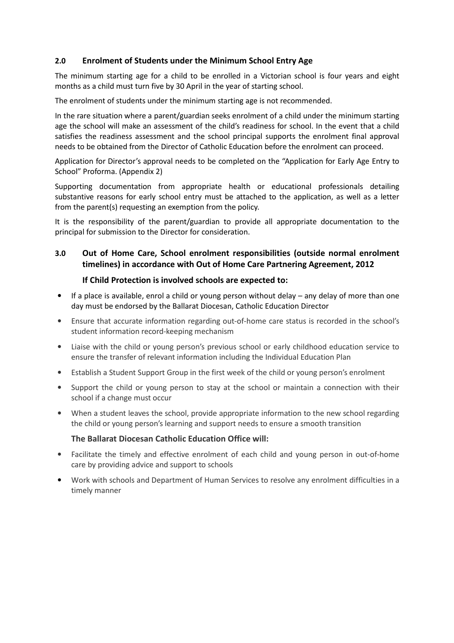# 2.0 Enrolment of Students under the Minimum School Entry Age

The minimum starting age for a child to be enrolled in a Victorian school is four years and eight months as a child must turn five by 30 April in the year of starting school.

The enrolment of students under the minimum starting age is not recommended.

In the rare situation where a parent/guardian seeks enrolment of a child under the minimum starting age the school will make an assessment of the child's readiness for school. In the event that a child satisfies the readiness assessment and the school principal supports the enrolment final approval needs to be obtained from the Director of Catholic Education before the enrolment can proceed.

Application for Director's approval needs to be completed on the "Application for Early Age Entry to School" Proforma. (Appendix 2)

Supporting documentation from appropriate health or educational professionals detailing substantive reasons for early school entry must be attached to the application, as well as a letter from the parent(s) requesting an exemption from the policy.

It is the responsibility of the parent/guardian to provide all appropriate documentation to the principal for submission to the Director for consideration.

# 3.0 Out of Home Care, School enrolment responsibilities (outside normal enrolment timelines) in accordance with Out of Home Care Partnering Agreement, 2012

### If Child Protection is involved schools are expected to:

- If a place is available, enrol a child or young person without delay any delay of more than one day must be endorsed by the Ballarat Diocesan, Catholic Education Director
- Ensure that accurate information regarding out-of-home care status is recorded in the school's student information record-keeping mechanism
- Liaise with the child or young person's previous school or early childhood education service to ensure the transfer of relevant information including the Individual Education Plan
- Establish a Student Support Group in the first week of the child or young person's enrolment
- Support the child or young person to stay at the school or maintain a connection with their school if a change must occur
- When a student leaves the school, provide appropriate information to the new school regarding the child or young person's learning and support needs to ensure a smooth transition

#### The Ballarat Diocesan Catholic Education Office will:

- Facilitate the timely and effective enrolment of each child and young person in out-of-home care by providing advice and support to schools
- Work with schools and Department of Human Services to resolve any enrolment difficulties in a timely manner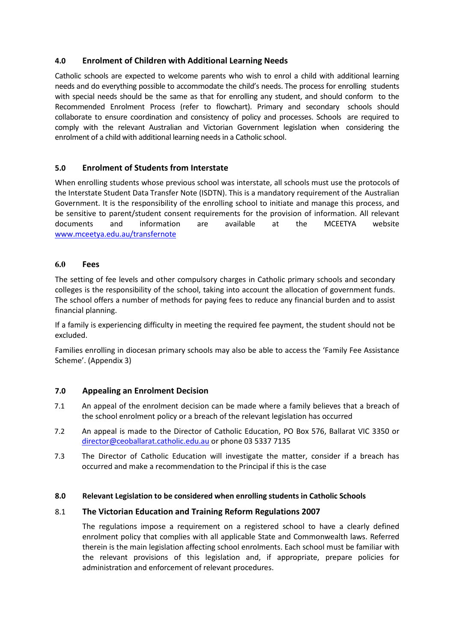# 4.0 Enrolment of Children with Additional Learning Needs

Catholic schools are expected to welcome parents who wish to enrol a child with additional learning needs and do everything possible to accommodate the child's needs. The process for enrolling students with special needs should be the same as that for enrolling any student, and should conform to the Recommended Enrolment Process (refer to flowchart). Primary and secondary schools should collaborate to ensure coordination and consistency of policy and processes. Schools are required to comply with the relevant Australian and Victorian Government legislation when considering the enrolment of a child with additional learning needs in a Catholic school.

# 5.0 Enrolment of Students from Interstate

When enrolling students whose previous school was interstate, all schools must use the protocols of the Interstate Student Data Transfer Note (ISDTN). This is a mandatory requirement of the Australian Government. It is the responsibility of the enrolling school to initiate and manage this process, and be sensitive to parent/student consent requirements for the provision of information. All relevant documents and information are available at the MCEETYA website www.mceetya.edu.au/transfernote

### **6.0** Fees

The setting of fee levels and other compulsory charges in Catholic primary schools and secondary colleges is the responsibility of the school, taking into account the allocation of government funds. The school offers a number of methods for paying fees to reduce any financial burden and to assist financial planning.

If a family is experiencing difficulty in meeting the required fee payment, the student should not be excluded.

Families enrolling in diocesan primary schools may also be able to access the 'Family Fee Assistance Scheme'. (Appendix 3)

# 7.0 Appealing an Enrolment Decision

- 7.1 An appeal of the enrolment decision can be made where a family believes that a breach of the school enrolment policy or a breach of the relevant legislation has occurred
- 7.2 An appeal is made to the Director of Catholic Education, PO Box 576, Ballarat VIC 3350 or director@ceoballarat.catholic.edu.au or phone 03 5337 7135
- 7.3 The Director of Catholic Education will investigate the matter, consider if a breach has occurred and make a recommendation to the Principal if this is the case

#### 8.0 Relevant Legislation to be considered when enrolling students in Catholic Schools

# 8.1 The Victorian Education and Training Reform Regulations 2007

The regulations impose a requirement on a registered school to have a clearly defined enrolment policy that complies with all applicable State and Commonwealth laws. Referred therein is the main legislation affecting school enrolments. Each school must be familiar with the relevant provisions of this legislation and, if appropriate, prepare policies for administration and enforcement of relevant procedures.